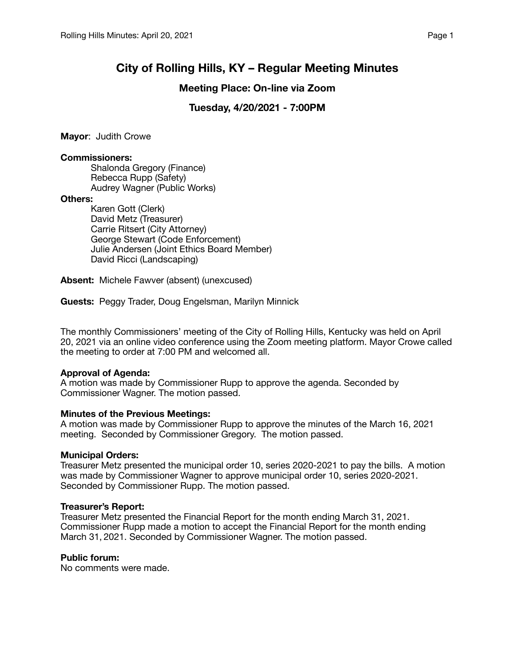# **City of Rolling Hills, KY – Regular Meeting Minutes**

## **Meeting Place: On-line via Zoom**

# **Tuesday, 4/20/2021 - 7:00PM**

**Mayor**: Judith Crowe

#### **Commissioners:**

Shalonda Gregory (Finance) Rebecca Rupp (Safety) Audrey Wagner (Public Works)

#### **Others:**

Karen Gott (Clerk) David Metz (Treasurer) Carrie Ritsert (City Attorney) George Stewart (Code Enforcement) Julie Andersen (Joint Ethics Board Member) David Ricci (Landscaping)

**Absent:** Michele Fawver (absent) (unexcused)

**Guests:** Peggy Trader, Doug Engelsman, Marilyn Minnick

The monthly Commissioners' meeting of the City of Rolling Hills, Kentucky was held on April 20, 2021 via an online video conference using the Zoom meeting platform. Mayor Crowe called the meeting to order at 7:00 PM and welcomed all.

## **Approval of Agenda:**

A motion was made by Commissioner Rupp to approve the agenda. Seconded by Commissioner Wagner. The motion passed.

#### **Minutes of the Previous Meetings:**

A motion was made by Commissioner Rupp to approve the minutes of the March 16, 2021 meeting. Seconded by Commissioner Gregory. The motion passed.

## **Municipal Orders:**

Treasurer Metz presented the municipal order 10, series 2020-2021 to pay the bills. A motion was made by Commissioner Wagner to approve municipal order 10, series 2020-2021. Seconded by Commissioner Rupp. The motion passed.

## **Treasurer's Report:**

Treasurer Metz presented the Financial Report for the month ending March 31, 2021. Commissioner Rupp made a motion to accept the Financial Report for the month ending March 31, 2021. Seconded by Commissioner Wagner. The motion passed.

## **Public forum:**

No comments were made.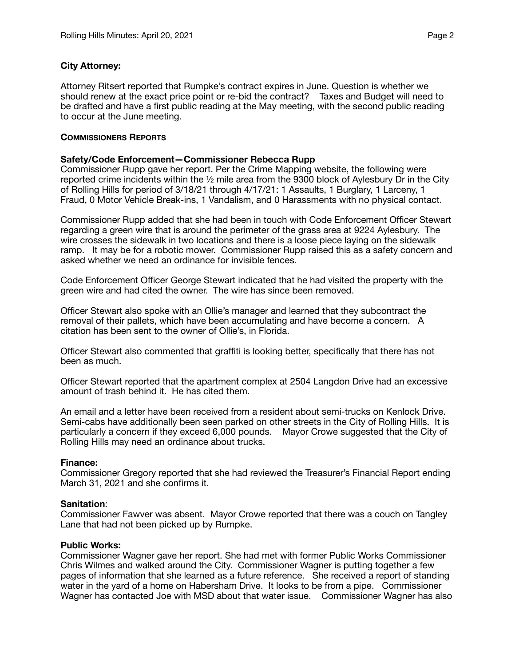## **City Attorney:**

Attorney Ritsert reported that Rumpke's contract expires in June. Question is whether we should renew at the exact price point or re-bid the contract? Taxes and Budget will need to be drafted and have a first public reading at the May meeting, with the second public reading to occur at the June meeting.

#### **COMMISSIONERS REPORTS**

#### **Safety/Code Enforcement—Commissioner Rebecca Rupp**

Commissioner Rupp gave her report. Per the Crime Mapping website, the following were reported crime incidents within the ½ mile area from the 9300 block of Aylesbury Dr in the City of Rolling Hills for period of 3/18/21 through 4/17/21: 1 Assaults, 1 Burglary, 1 Larceny, 1 Fraud, 0 Motor Vehicle Break-ins, 1 Vandalism, and 0 Harassments with no physical contact.

Commissioner Rupp added that she had been in touch with Code Enforcement Officer Stewart regarding a green wire that is around the perimeter of the grass area at 9224 Aylesbury. The wire crosses the sidewalk in two locations and there is a loose piece laying on the sidewalk ramp. It may be for a robotic mower. Commissioner Rupp raised this as a safety concern and asked whether we need an ordinance for invisible fences.

Code Enforcement Officer George Stewart indicated that he had visited the property with the green wire and had cited the owner. The wire has since been removed.

Officer Stewart also spoke with an Ollie's manager and learned that they subcontract the removal of their pallets, which have been accumulating and have become a concern. A citation has been sent to the owner of Ollie's, in Florida.

Officer Stewart also commented that graffiti is looking better, specifically that there has not been as much.

Officer Stewart reported that the apartment complex at 2504 Langdon Drive had an excessive amount of trash behind it. He has cited them.

An email and a letter have been received from a resident about semi-trucks on Kenlock Drive. Semi-cabs have additionally been seen parked on other streets in the City of Rolling Hills. It is particularly a concern if they exceed 6,000 pounds. Mayor Crowe suggested that the City of Rolling Hills may need an ordinance about trucks.

#### **Finance:**

Commissioner Gregory reported that she had reviewed the Treasurer's Financial Report ending March 31, 2021 and she confirms it.

#### **Sanitation**:

Commissioner Fawver was absent. Mayor Crowe reported that there was a couch on Tangley Lane that had not been picked up by Rumpke.

#### **Public Works:**

Commissioner Wagner gave her report. She had met with former Public Works Commissioner Chris Wilmes and walked around the City. Commissioner Wagner is putting together a few pages of information that she learned as a future reference. She received a report of standing water in the yard of a home on Habersham Drive. It looks to be from a pipe. Commissioner Wagner has contacted Joe with MSD about that water issue. Commissioner Wagner has also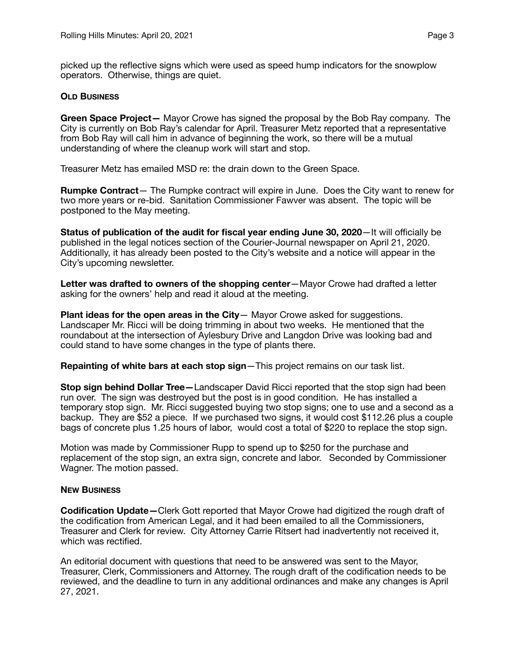picked up the reflective signs which were used as speed hump indicators for the snowplow operators. Otherwise, things are quiet.

## **OLD BUSINESS**

**Green Space Project—** Mayor Crowe has signed the proposal by the Bob Ray company. The City is currently on Bob Ray's calendar for April. Treasurer Metz reported that a representative from Bob Ray will call him in advance of beginning the work, so there will be a mutual understanding of where the cleanup work will start and stop.

Treasurer Metz has emailed MSD re: the drain down to the Green Space.

**Rumpke Contract**— The Rumpke contract will expire in June. Does the City want to renew for two more years or re-bid. Sanitation Commissioner Fawver was absent. The topic will be postponed to the May meeting.

**Status of publication of the audit for fiscal year ending June 30, 2020**—It will officially be published in the legal notices section of the Courier-Journal newspaper on April 21, 2020. Additionally, it has already been posted to the City's website and a notice will appear in the City's upcoming newsletter.

**Letter was drafted to owners of the shopping center**—Mayor Crowe had drafted a letter asking for the owners' help and read it aloud at the meeting.

**Plant ideas for the open areas in the City**— Mayor Crowe asked for suggestions. Landscaper Mr. Ricci will be doing trimming in about two weeks. He mentioned that the roundabout at the intersection of Aylesbury Drive and Langdon Drive was looking bad and could stand to have some changes in the type of plants there.

**Repainting of white bars at each stop sign**—This project remains on our task list.

**Stop sign behind Dollar Tree—**Landscaper David Ricci reported that the stop sign had been run over. The sign was destroyed but the post is in good condition. He has installed a temporary stop sign. Mr. Ricci suggested buying two stop signs; one to use and a second as a backup. They are \$52 a piece. If we purchased two signs, it would cost \$112.26 plus a couple bags of concrete plus 1.25 hours of labor, would cost a total of \$220 to replace the stop sign.

Motion was made by Commissioner Rupp to spend up to \$250 for the purchase and replacement of the stop sign, an extra sign, concrete and labor. Seconded by Commissioner Wagner. The motion passed.

#### **NEW BUSINESS**

**Codification Update—**Clerk Gott reported that Mayor Crowe had digitized the rough draft of the codification from American Legal, and it had been emailed to all the Commissioners, Treasurer and Clerk for review. City Attorney Carrie Ritsert had inadvertently not received it, which was rectified.

An editorial document with questions that need to be answered was sent to the Mayor, Treasurer, Clerk, Commissioners and Attorney. The rough draft of the codification needs to be reviewed, and the deadline to turn in any additional ordinances and make any changes is April 27, 2021.